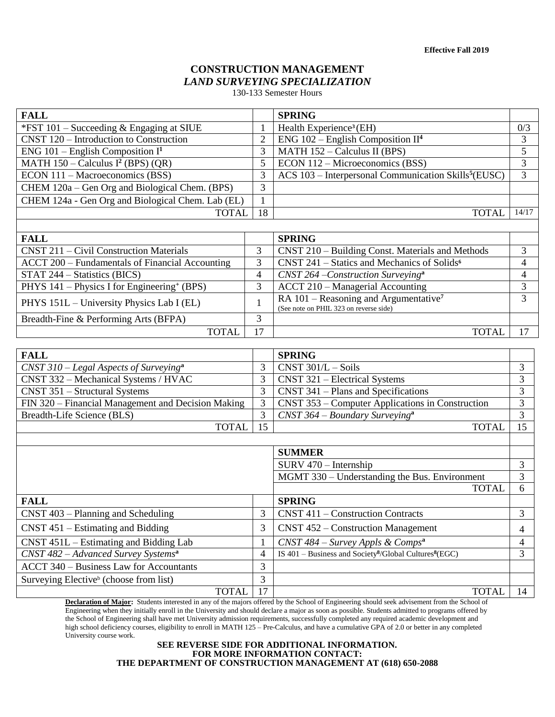# **CONSTRUCTION MANAGEMENT** *LAND SURVEYING SPECIALIZATION*

130-133 Semester Hours

| <b>FALL</b>                                             |                | <b>SPRING</b>                                                    |       |
|---------------------------------------------------------|----------------|------------------------------------------------------------------|-------|
| *FST $101$ – Succeeding & Engaging at SIUE              |                | Health Experience <sup>3</sup> (EH)                              | 0/3   |
| CNST 120 – Introduction to Construction                 | $\overline{2}$ | $ENG$ 102 – English Composition II <sup>4</sup>                  | 3     |
| ENG 101 – English Composition $I^1$                     | 3              | MATH 152 - Calculus II (BPS)                                     | 5     |
| MATH $150 -$ Calculus I <sup>2</sup> (BPS) (QR)         | 5              | ECON 112 – Microeconomics (BSS)                                  | 3     |
| ECON 111 - Macroeconomics (BSS)                         | 3              | ACS 103 – Interpersonal Communication Skills <sup>5</sup> (EUSC) | 3     |
| CHEM 120a – Gen Org and Biological Chem. (BPS)          | 3              |                                                                  |       |
| CHEM 124a - Gen Org and Biological Chem. Lab (EL)       |                |                                                                  |       |
| <b>TOTAL</b>                                            | 18             | <b>TOTAL</b>                                                     | 14/17 |
|                                                         |                |                                                                  |       |
| <b>FALL</b>                                             |                | <b>SPRING</b>                                                    |       |
| CNST 211 – Civil Construction Materials                 | 3              | CNST 210 – Building Const. Materials and Methods                 | 3     |
|                                                         |                |                                                                  |       |
| ACCT 200 – Fundamentals of Financial Accounting         | 3              | CNST 241 – Statics and Mechanics of $\overline{\text{Solids}^6}$ | 4     |
| STAT 244 – Statistics (BICS)                            | $\overline{4}$ | $CNST$ 264 – Construction Surveying <sup>a</sup>                 | 4     |
| PHYS 141 – Physics I for Engineering <sup>+</sup> (BPS) | 3              | ACCT 210 – Managerial Accounting                                 | 3     |
| PHYS 151L – University Physics Lab I (EL)               |                | RA $101$ – Reasoning and Argumentative <sup>7</sup>              | 3     |
| Breadth-Fine & Performing Arts (BFPA)                   | 3              | (See note on PHIL 323 on reverse side)                           |       |
| <b>TOTAL</b>                                            | 17             | <b>TOTAL</b>                                                     | 17    |

| <b>FALL</b>                                        |    | <b>SPRING</b>                                                                    |    |
|----------------------------------------------------|----|----------------------------------------------------------------------------------|----|
| $CNST 310 - Legal Aspects of Surveyinga$           | 3  | CNST 301/L - Soils                                                               | 3  |
| CNST 332 - Mechanical Systems / HVAC               | 3  | CNST 321 – Electrical Systems                                                    | 3  |
| CNST 351 - Structural Systems                      | 3  | $CNST$ 341 – Plans and Specifications                                            | 3  |
| FIN 320 – Financial Management and Decision Making | 3  | CNST 353 – Computer Applications in Construction                                 | 3  |
| Breadth-Life Science (BLS)                         | 3  | $CNST 364 - Boundary Surveyinga$                                                 | 3  |
| <b>TOTAL</b>                                       | 15 | <b>TOTAL</b>                                                                     | 15 |
|                                                    |    |                                                                                  |    |
|                                                    |    | <b>SUMMER</b>                                                                    |    |
|                                                    |    | $SURV 470 - Internship$                                                          | 3  |
|                                                    |    | MGMT 330 – Understanding the Bus. Environment                                    | 3  |
|                                                    |    | <b>TOTAL</b>                                                                     | 6  |
| <b>FALL</b>                                        |    | <b>SPRING</b>                                                                    |    |
| CNST 403 - Planning and Scheduling                 | 3  | CNST 411 – Construction Contracts                                                | 3  |
| $CNST 451 - Estimating and Bidding$                | 3  | CNST 452 – Construction Management                                               | 4  |
| $CNST 451L - Estimating and Bidding Lab$           |    | CNST 484 – Survey Appls & Comps <sup>a</sup>                                     | 4  |
| $CNST 482 - Advanced Survey Systemsa$              | 4  | IS $401 - Business$ and Society <sup>8</sup> /Global Cultures <sup>8</sup> (EGC) | 3  |
| <b>ACCT 340 – Business Law for Accountants</b>     | 3  |                                                                                  |    |
| Surveying Elective <sup>b</sup> (choose from list) | 3  |                                                                                  |    |
| <b>TOTAL</b>                                       | 17 | <b>TOTAL</b>                                                                     | 14 |

**Declaration of Major:** Students interested in any of the majors offered by the School of Engineering should seek advisement from the School of Engineering when they initially enroll in the University and should declare a major as soon as possible. Students admitted to programs offered by the School of Engineering shall have met University admission requirements, successfully completed any required academic development and high school deficiency courses, eligibility to enroll in MATH 125 – Pre-Calculus, and have a cumulative GPA of 2.0 or better in any completed University course work.

# **SEE REVERSE SIDE FOR ADDITIONAL INFORMATION. FOR MORE INFORMATION CONTACT: THE DEPARTMENT OF CONSTRUCTION MANAGEMENT AT (618) 650-2088**